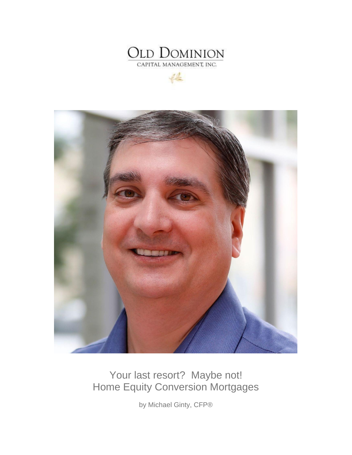

 $46$ 



## Your last resort? Maybe not! Home Equity Conversion Mortgages

by Michael Ginty, CFP®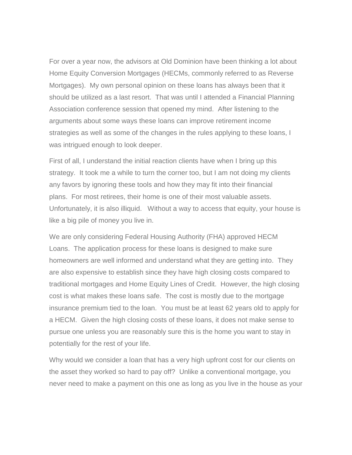For over a year now, the advisors at Old Dominion have been thinking a lot about Home Equity Conversion Mortgages (HECMs, commonly referred to as Reverse Mortgages). My own personal opinion on these loans has always been that it should be utilized as a last resort. That was until I attended a Financial Planning Association conference session that opened my mind. After listening to the arguments about some ways these loans can improve retirement income strategies as well as some of the changes in the rules applying to these loans, I was intrigued enough to look deeper.

First of all, I understand the initial reaction clients have when I bring up this strategy. It took me a while to turn the corner too, but I am not doing my clients any favors by ignoring these tools and how they may fit into their financial plans. For most retirees, their home is one of their most valuable assets. Unfortunately, it is also illiquid. Without a way to access that equity, your house is like a big pile of money you live in.

We are only considering Federal Housing Authority (FHA) approved HECM Loans. The application process for these loans is designed to make sure homeowners are well informed and understand what they are getting into. They are also expensive to establish since they have high closing costs compared to traditional mortgages and Home Equity Lines of Credit. However, the high closing cost is what makes these loans safe. The cost is mostly due to the mortgage insurance premium tied to the loan. You must be at least 62 years old to apply for a HECM. Given the high closing costs of these loans, it does not make sense to pursue one unless you are reasonably sure this is the home you want to stay in potentially for the rest of your life.

Why would we consider a loan that has a very high upfront cost for our clients on the asset they worked so hard to pay off? Unlike a conventional mortgage, you never need to make a payment on this one as long as you live in the house as your